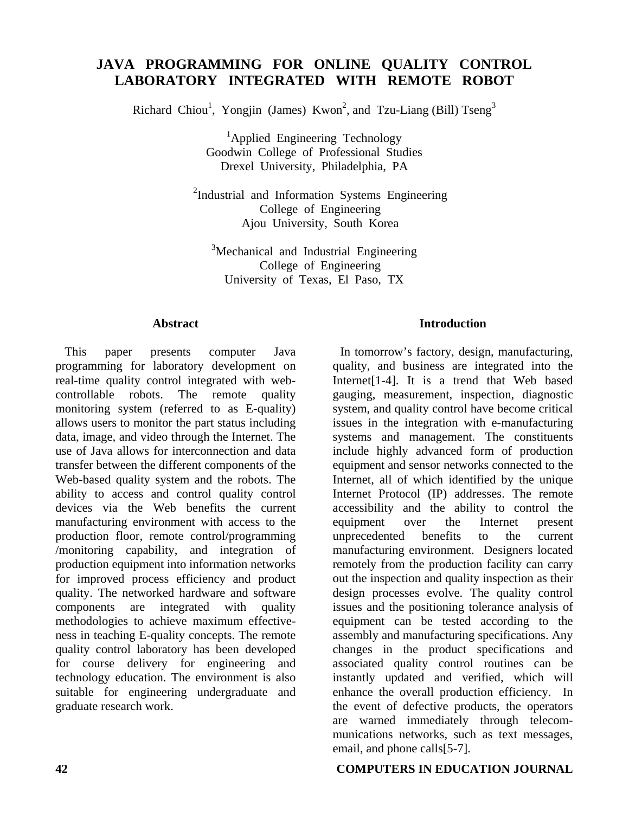# **JAVA PROGRAMMING FOR ONLINE QUALITY CONTROL LABORATORY INTEGRATED WITH REMOTE ROBOT**

Richard Chiou<sup>1</sup>, Yongjin (James) Kwon<sup>2</sup>, and Tzu-Liang (Bill) Tseng<sup>3</sup>

<sup>1</sup>Applied Engineering Technology Goodwin College of Professional Studies Drexel University, Philadelphia, PA

<sup>2</sup>Industrial and Information Systems Engineering College of Engineering Ajou University, South Korea

<sup>3</sup>Mechanical and Industrial Engineering College of Engineering University of Texas, El Paso, TX

#### **Abstract**

This paper presents computer Java programming for laboratory development on real-time quality control integrated with webcontrollable robots. The remote quality monitoring system (referred to as E-quality) allows users to monitor the part status including data, image, and video through the Internet. The use of Java allows for interconnection and data transfer between the different components of the Web-based quality system and the robots. The ability to access and control quality control devices via the Web benefits the current manufacturing environment with access to the production floor, remote control/programming /monitoring capability, and integration of production equipment into information networks for improved process efficiency and product quality. The networked hardware and software components are integrated with quality methodologies to achieve maximum effectiveness in teaching E-quality concepts. The remote quality control laboratory has been developed for course delivery for engineering and technology education. The environment is also suitable for engineering undergraduate and graduate research work.

### **Introduction**

In tomorrow's factory, design, manufacturing, quality, and business are integrated into the Internet[1-4]. It is a trend that Web based gauging, measurement, inspection, diagnostic system, and quality control have become critical issues in the integration with e-manufacturing systems and management. The constituents include highly advanced form of production equipment and sensor networks connected to the Internet, all of which identified by the unique Internet Protocol (IP) addresses. The remote accessibility and the ability to control the equipment over the Internet present unprecedented benefits to the current manufacturing environment. Designers located remotely from the production facility can carry out the inspection and quality inspection as their design processes evolve. The quality control issues and the positioning tolerance analysis of equipment can be tested according to the assembly and manufacturing specifications. Any changes in the product specifications and associated quality control routines can be instantly updated and verified, which will enhance the overall production efficiency. In the event of defective products, the operators are warned immediately through telecommunications networks, such as text messages, email, and phone calls[5-7].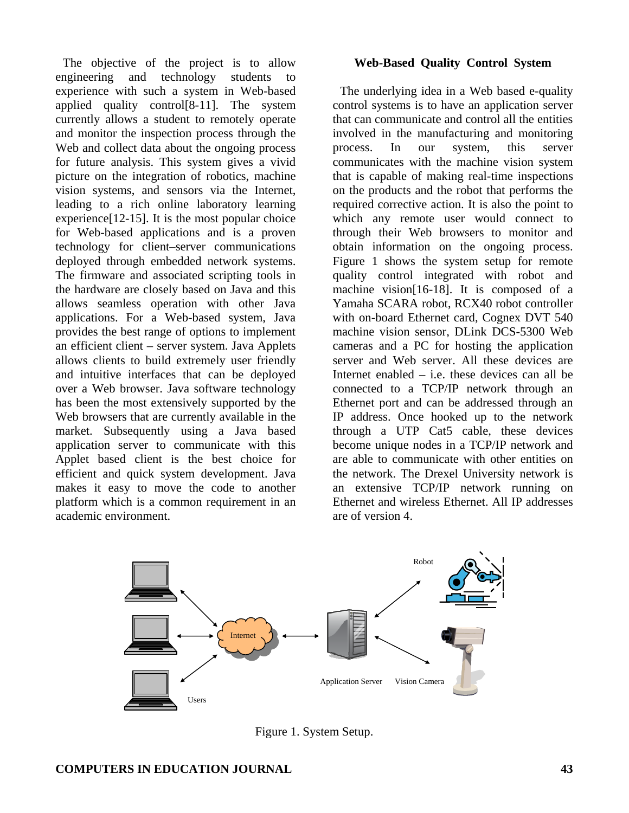The objective of the project is to allow engineering and technology students to experience with such a system in Web-based applied quality control[8-11]. The system currently allows a student to remotely operate and monitor the inspection process through the Web and collect data about the ongoing process for future analysis. This system gives a vivid picture on the integration of robotics, machine vision systems, and sensors via the Internet, leading to a rich online laboratory learning experience[12-15]. It is the most popular choice for Web-based applications and is a proven technology for client–server communications deployed through embedded network systems. The firmware and associated scripting tools in the hardware are closely based on Java and this allows seamless operation with other Java applications. For a Web-based system, Java provides the best range of options to implement an efficient client – server system. Java Applets allows clients to build extremely user friendly and intuitive interfaces that can be deployed over a Web browser. Java software technology has been the most extensively supported by the Web browsers that are currently available in the market. Subsequently using a Java based application server to communicate with this Applet based client is the best choice for efficient and quick system development. Java makes it easy to move the code to another platform which is a common requirement in an academic environment.

### **Web-Based Quality Control System**

The underlying idea in a Web based e-quality control systems is to have an application server that can communicate and control all the entities involved in the manufacturing and monitoring process. In our system, this server communicates with the machine vision system that is capable of making real-time inspections on the products and the robot that performs the required corrective action. It is also the point to which any remote user would connect to through their Web browsers to monitor and obtain information on the ongoing process. Figure 1 shows the system setup for remote quality control integrated with robot and machine vision[16-18]. It is composed of a Yamaha SCARA robot, RCX40 robot controller with on-board Ethernet card, Cognex DVT 540 machine vision sensor, DLink DCS-5300 Web cameras and a PC for hosting the application server and Web server. All these devices are Internet enabled – i.e. these devices can all be connected to a TCP/IP network through an Ethernet port and can be addressed through an IP address. Once hooked up to the network through a UTP Cat5 cable, these devices become unique nodes in a TCP/IP network and are able to communicate with other entities on the network. The Drexel University network is an extensive TCP/IP network running on Ethernet and wireless Ethernet. All IP addresses are of version 4.



Figure 1. System Setup.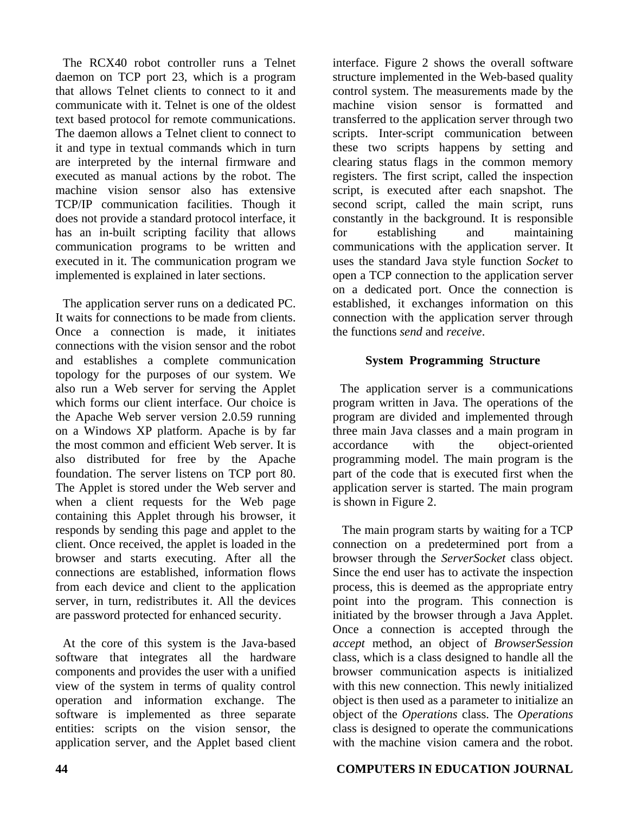The RCX40 robot controller runs a Telnet daemon on TCP port 23, which is a program that allows Telnet clients to connect to it and communicate with it. Telnet is one of the oldest text based protocol for remote communications. The daemon allows a Telnet client to connect to it and type in textual commands which in turn are interpreted by the internal firmware and executed as manual actions by the robot. The machine vision sensor also has extensive TCP/IP communication facilities. Though it does not provide a standard protocol interface, it has an in-built scripting facility that allows communication programs to be written and executed in it. The communication program we implemented is explained in later sections.

The application server runs on a dedicated PC. It waits for connections to be made from clients. Once a connection is made, it initiates connections with the vision sensor and the robot and establishes a complete communication topology for the purposes of our system. We also run a Web server for serving the Applet which forms our client interface. Our choice is the Apache Web server version 2.0.59 running on a Windows XP platform. Apache is by far the most common and efficient Web server. It is also distributed for free by the Apache foundation. The server listens on TCP port 80. The Applet is stored under the Web server and when a client requests for the Web page containing this Applet through his browser, it responds by sending this page and applet to the client. Once received, the applet is loaded in the browser and starts executing. After all the connections are established, information flows from each device and client to the application server, in turn, redistributes it. All the devices are password protected for enhanced security.

At the core of this system is the Java-based software that integrates all the hardware components and provides the user with a unified view of the system in terms of quality control operation and information exchange. The software is implemented as three separate entities: scripts on the vision sensor, the application server, and the Applet based client

interface. Figure 2 shows the overall software structure implemented in the Web-based quality control system. The measurements made by the machine vision sensor is formatted and transferred to the application server through two scripts. Inter-script communication between these two scripts happens by setting and clearing status flags in the common memory registers. The first script, called the inspection script, is executed after each snapshot. The second script, called the main script, runs constantly in the background. It is responsible for establishing and maintaining communications with the application server. It uses the standard Java style function *Socket* to open a TCP connection to the application server on a dedicated port. Once the connection is established, it exchanges information on this connection with the application server through the functions *send* and *receive*.

## **System Programming Structure**

The application server is a communications program written in Java. The operations of the program are divided and implemented through three main Java classes and a main program in accordance with the object-oriented programming model. The main program is the part of the code that is executed first when the application server is started. The main program is shown in Figure 2.

The main program starts by waiting for a TCP connection on a predetermined port from a browser through the *ServerSocket* class object. Since the end user has to activate the inspection process, this is deemed as the appropriate entry point into the program. This connection is initiated by the browser through a Java Applet. Once a connection is accepted through the *accept* method, an object of *BrowserSession* class, which is a class designed to handle all the browser communication aspects is initialized with this new connection. This newly initialized object is then used as a parameter to initialize an object of the *Operations* class. The *Operations* class is designed to operate the communications with the machine vision camera and the robot.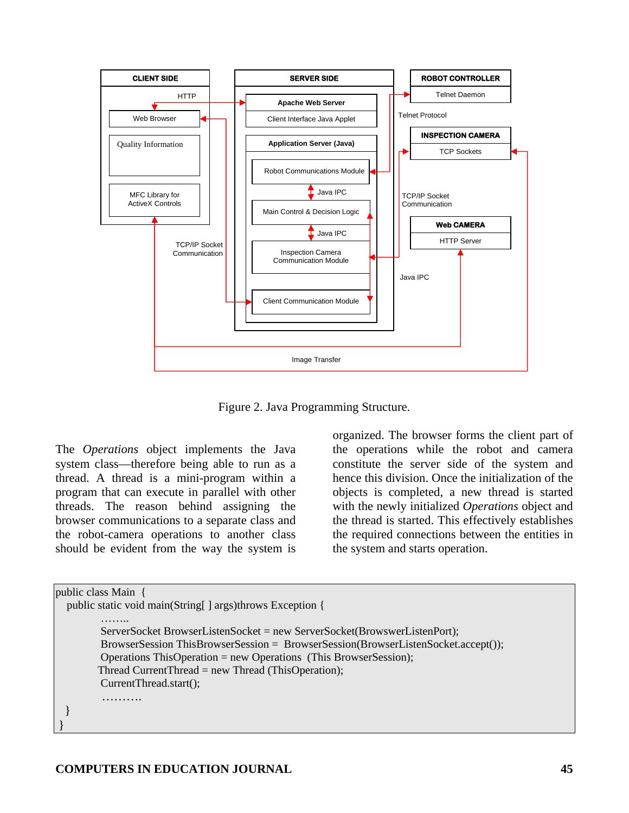

Figure 2. Java Programming Structure.

The *Operations* object implements the Java system class—therefore being able to run as a thread. A thread is a mini-program within a program that can execute in parallel with other threads. The reason behind assigning the browser communications to a separate class and the robot-camera operations to another class should be evident from the way the system is

organized. The browser forms the client part of the operations while the robot and camera constitute the server side of the system and hence this division. Once the initialization of the objects is completed, a new thread is started with the newly initialized *Operations* object and the thread is started. This effectively establishes the required connections between the entities in the system and starts operation.

```
public class Main { 
  public static void main(String[] args)throws Exception {
 …….. 
          ServerSocket BrowserListenSocket = new ServerSocket(BrowswerListenPort); 
          BrowserSession ThisBrowserSession = BrowserSession(BrowserListenSocket.accept()); 
          Operations ThisOperation = new Operations (This BrowserSession); 
         Thread CurrentThread = new Thread (ThisOperation); 
          CurrentThread.start(); 
          ………. 
  } 
 }
```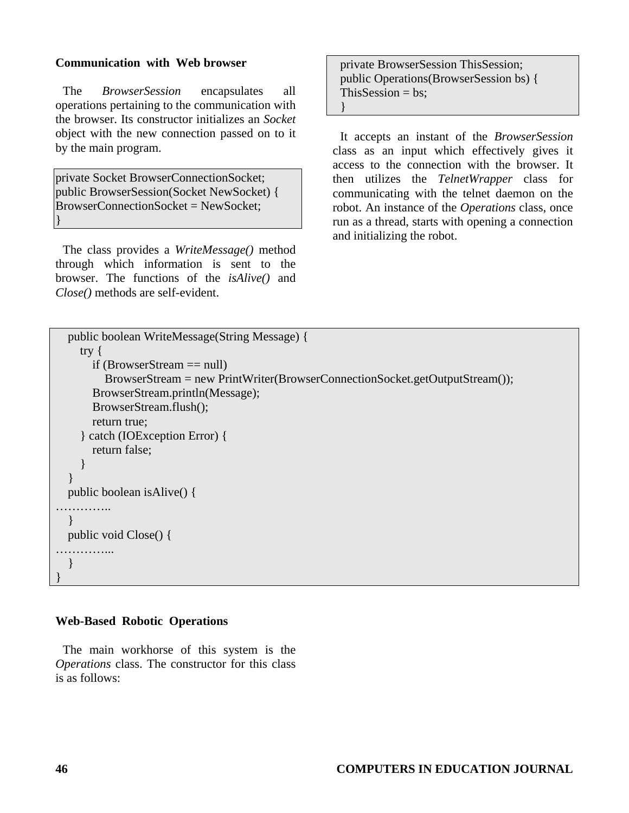### **Communication with Web browser**

The *BrowserSession* encapsulates all operations pertaining to the communication with the browser. Its constructor initializes an *Socket* object with the new connection passed on to it by the main program.

private Socket BrowserConnectionSocket; public BrowserSession(Socket NewSocket) { BrowserConnectionSocket = NewSocket; }

The class provides a *WriteMessage()* method through which information is sent to the browser. The functions of the *isAlive()* and *Close()* methods are self-evident.

private BrowserSession ThisSession; public Operations(BrowserSession bs) { This $S$ ession = bs: }

It accepts an instant of the *BrowserSession* class as an input which effectively gives it access to the connection with the browser. It then utilizes the *TelnetWrapper* class for communicating with the telnet daemon on the robot. An instance of the *Operations* class, once run as a thread, starts with opening a connection and initializing the robot.

```
 public boolean WriteMessage(String Message) { 
     try { 
        if (BrowserStream == null) 
           BrowserStream = new PrintWriter(BrowserConnectionSocket.getOutputStream()); 
        BrowserStream.println(Message); 
        BrowserStream.flush(); 
        return true; 
      } catch (IOException Error) { 
        return false; 
      } 
   } 
   public boolean isAlive() { 
……………
   } 
   public void Close() { 
……………
   } 
}
```
### **Web-Based Robotic Operations**

The main workhorse of this system is the *Operations* class. The constructor for this class is as follows: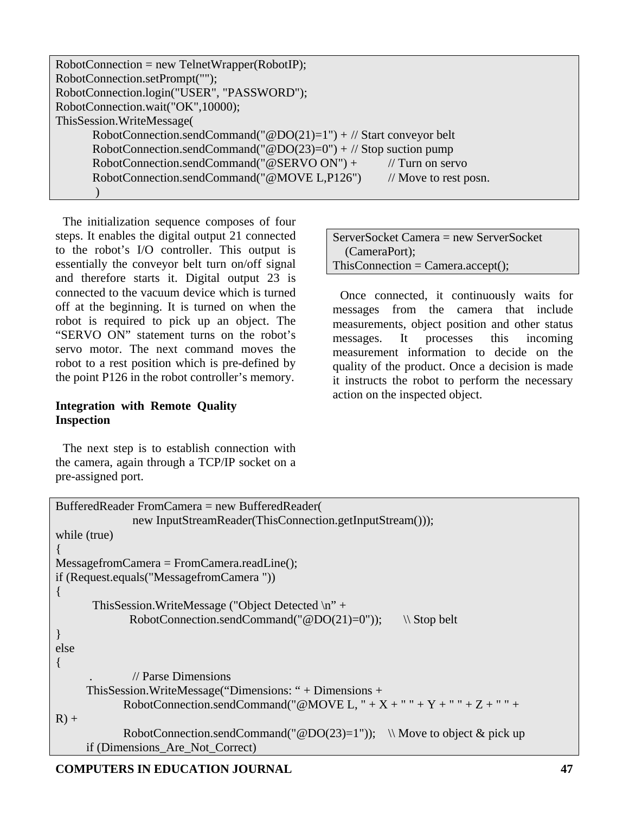| $RobotConnection = new TelnetWrapper(RobotIP);$                     |                                  |
|---------------------------------------------------------------------|----------------------------------|
| RobotConnection.setPrompt("");                                      |                                  |
| RobotConnection.login("USER", "PASSWORD");                          |                                  |
| RobotConnection.wait("OK",10000);                                   |                                  |
| This Session. Write Message                                         |                                  |
| RobotConnection.sendCommand("@DO(21)=1") + // Start conveyor belt   |                                  |
| RobotConnection.sendCommand(" $@DO(23)=0"$ ) + // Stop suction pump |                                  |
| RobotConnection.sendCommand("@SERVO ON") +                          | $//$ Turn on servo               |
| RobotConnection.sendCommand("@MOVE L,P126")                         | $\frac{1}{2}$ Move to rest posn. |
|                                                                     |                                  |

The initialization sequence composes of four steps. It enables the digital output 21 connected to the robot's I/O controller. This output is essentially the conveyor belt turn on/off signal and therefore starts it. Digital output 23 is connected to the vacuum device which is turned off at the beginning. It is turned on when the robot is required to pick up an object. The "SERVO ON" statement turns on the robot's servo motor. The next command moves the robot to a rest position which is pre-defined by the point P126 in the robot controller's memory.

### **Integration with Remote Quality Inspection**

The next step is to establish connection with the camera, again through a TCP/IP socket on a pre-assigned port.

ServerSocket Camera = new ServerSocket (CameraPort);  $ThisConnection = Camera. accept();$ 

Once connected, it continuously waits for messages from the camera that include measurements, object position and other status messages. It processes this incoming measurement information to decide on the quality of the product. Once a decision is made it instructs the robot to perform the necessary action on the inspected object.

| BufferedReader FromCamera = new BufferedReader                          |
|-------------------------------------------------------------------------|
| new InputStreamReader(ThisConnection.getInputStream()));                |
| while (true)                                                            |
|                                                                         |
| $MessagefromCamera = FromCamera.readLine();$                            |
| if (Request.equals("MessagefromCamera"))                                |
|                                                                         |
| This Session. Write Message ("Object Detected $\n \cdot \n \cdot$ " +   |
| RobotConnection.sendCommand(" $@DO(21)=0$ "));<br>$\setminus$ Stop belt |
|                                                                         |
| else                                                                    |
|                                                                         |
| // Parse Dimensions                                                     |
| This Session. Write Message ("Dimensions: " $+$ Dimensions $+$          |
| RobotConnection.sendCommand("@MOVE L, " + X + " " + Y + " " + Z + " " + |
| $R) +$                                                                  |
| RobotConnection.sendCommand("@DO(23)=1")); \\ Move to object & pick up  |
| if (Dimensions_Are_Not_Correct)                                         |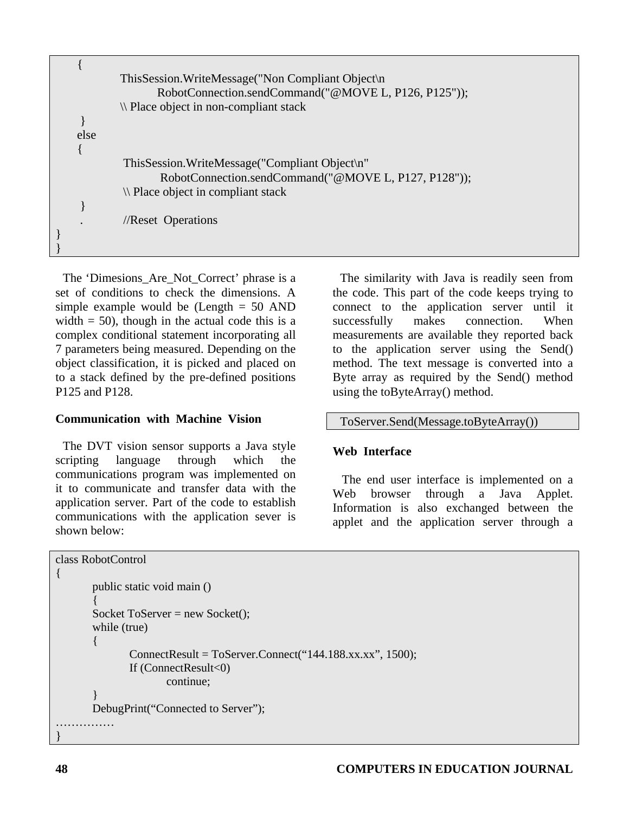|      | This Session. Write Message ("Non Compliant Object\n                                                      |
|------|-----------------------------------------------------------------------------------------------------------|
|      | RobotConnection.sendCommand("@MOVE L, P126, P125"));                                                      |
|      | \\ Place object in non-compliant stack                                                                    |
|      |                                                                                                           |
| else |                                                                                                           |
|      |                                                                                                           |
|      | This Session. Write Message ("Compliant Object\n"<br>RobotConnection.sendCommand("@MOVE L, P127, P128")); |
|      | \\ Place object in compliant stack                                                                        |
|      |                                                                                                           |
|      | //Reset Operations                                                                                        |
|      |                                                                                                           |
|      |                                                                                                           |

The 'Dimesions\_Are\_Not\_Correct' phrase is a set of conditions to check the dimensions. A simple example would be  $(Length = 50$  AND width  $= 50$ , though in the actual code this is a complex conditional statement incorporating all 7 parameters being measured. Depending on the object classification, it is picked and placed on to a stack defined by the pre-defined positions P125 and P128.

### **Communication with Machine Vision**

The DVT vision sensor supports a Java style scripting language through which the communications program was implemented on it to communicate and transfer data with the application server. Part of the code to establish communications with the application sever is shown below:

The similarity with Java is readily seen from the code. This part of the code keeps trying to connect to the application server until it successfully makes connection. When measurements are available they reported back to the application server using the Send() method. The text message is converted into a Byte array as required by the Send() method using the toByteArray() method.

### ToServer.Send(Message.toByteArray())

### **Web Interface**

The end user interface is implemented on a Web browser through a Java Applet. Information is also exchanged between the applet and the application server through a

```
class RobotControl 
{ 
          public static void main () 
\left\{\begin{array}{ccc} \end{array}\right\}Socket ToServer = new Socket(); while (true) 
\left\{\begin{array}{ccc} \end{array}\right\} ConnectResult = ToServer.Connect("144.188.xx.xx", 1500); 
                    If (ConnectResult<0) 
                             continue; 
 } 
          DebugPrint("Connected to Server"); 
…………… 
}
```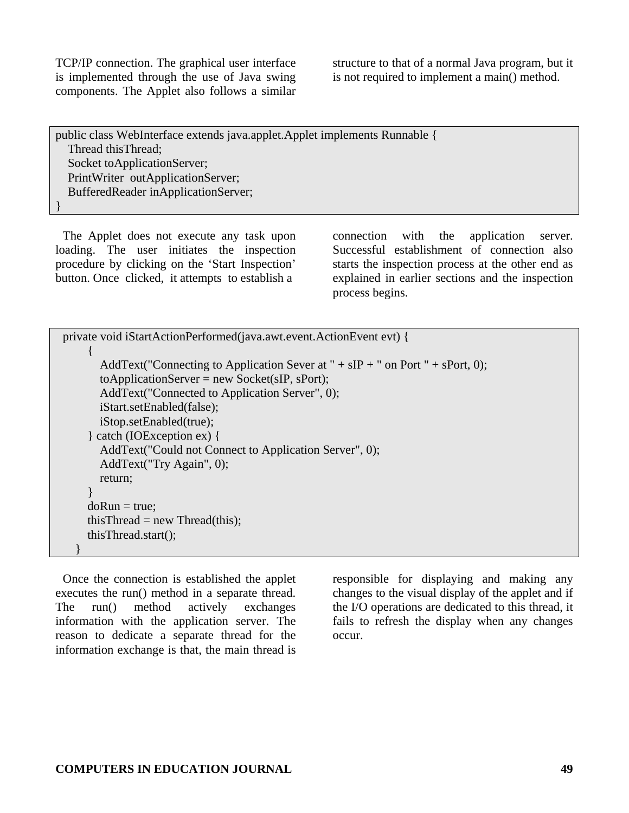TCP/IP connection. The graphical user interface is implemented through the use of Java swing components. The Applet also follows a similar

structure to that of a normal Java program, but it is not required to implement a main() method.

public class WebInterface extends java.applet.Applet implements Runnable { Thread thisThread; Socket toApplicationServer; PrintWriter outApplicationServer; BufferedReader inApplicationServer; }

The Applet does not execute any task upon loading. The user initiates the inspection procedure by clicking on the 'Start Inspection' button. Once clicked, it attempts to establish a

connection with the application server. Successful establishment of connection also starts the inspection process at the other end as explained in earlier sections and the inspection process begins.

```
private void iStartActionPerformed(java.awt.event.ActionEvent evt) { 
     \{AddText("Connecting to Application Sever at "+ sIP +" on Port "+ sPort, 0);
       to ApplicationServer = new Socket(sIP, sPort); AddText("Connected to Application Server", 0); 
        iStart.setEnabled(false); 
        iStop.setEnabled(true); 
      } catch (IOException ex) { 
        AddText("Could not Connect to Application Server", 0); 
        AddText("Try Again", 0); 
        return; 
 } 
     doRun = true:
     thisThread = new Thread(this);
      thisThread.start(); 
   }
```
Once the connection is established the applet executes the run() method in a separate thread. The run() method actively exchanges information with the application server. The reason to dedicate a separate thread for the information exchange is that, the main thread is

responsible for displaying and making any changes to the visual display of the applet and if the I/O operations are dedicated to this thread, it fails to refresh the display when any changes occur.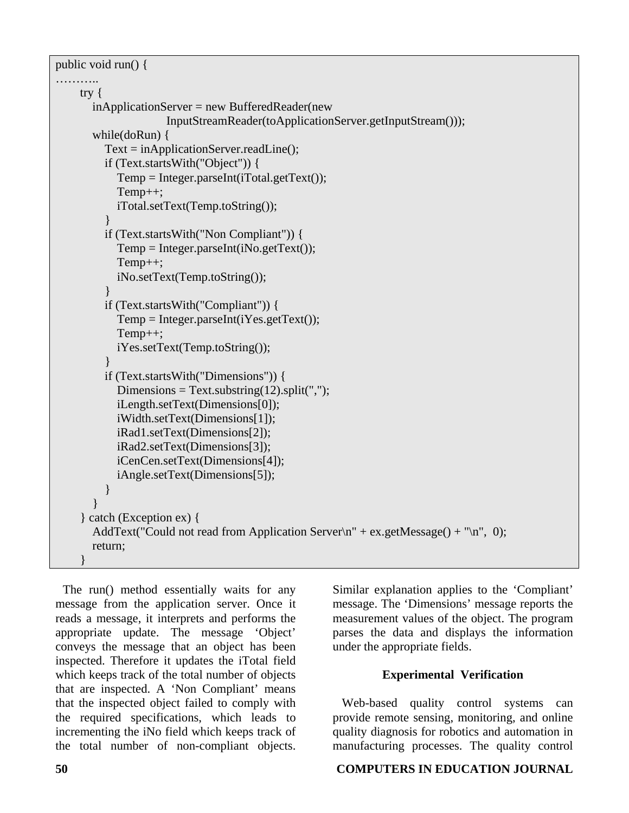public void run() {

```
…………
     try { 
        inApplicationServer = new BufferedReader(new 
                      InputStreamReader(toApplicationServer.getInputStream())); 
        while(doRun) { 
          Text = inApplicationServer.readLine(); 
          if (Text.startsWith("Object")) { 
           Temp = Integer.parseInt(iTotal.getText()); Temp++; 
            iTotal.setText(Temp.toString()); 
 } 
          if (Text.startsWith("Non Compliant")) { 
           Temp = Integer.parseInt(iNo.getText());
            Temp++; 
            iNo.setText(Temp.toString()); 
 } 
          if (Text.startsWith("Compliant")) { 
           Temp = Integer.parseInt(iYes.getText()); Temp++; 
            iYes.setText(Temp.toString()); 
 } 
          if (Text.startsWith("Dimensions")) { 
           Dimensions = Text.substring(12).split("");
            iLength.setText(Dimensions[0]); 
            iWidth.setText(Dimensions[1]); 
            iRad1.setText(Dimensions[2]); 
            iRad2.setText(Dimensions[3]); 
            iCenCen.setText(Dimensions[4]); 
            iAngle.setText(Dimensions[5]); 
          } 
 } 
     } catch (Exception ex) { 
       AddText("Could not read from Application Server\ln" + ex.getMessage() + "\ln", 0);
        return; 
 }
```
The run() method essentially waits for any message from the application server. Once it reads a message, it interprets and performs the appropriate update. The message 'Object' conveys the message that an object has been inspected. Therefore it updates the iTotal field which keeps track of the total number of objects that are inspected. A 'Non Compliant' means that the inspected object failed to comply with the required specifications, which leads to incrementing the iNo field which keeps track of the total number of non-compliant objects.

Similar explanation applies to the 'Compliant' message. The 'Dimensions' message reports the measurement values of the object. The program parses the data and displays the information under the appropriate fields.

# **Experimental Verification**

Web-based quality control systems can provide remote sensing, monitoring, and online quality diagnosis for robotics and automation in manufacturing processes. The quality control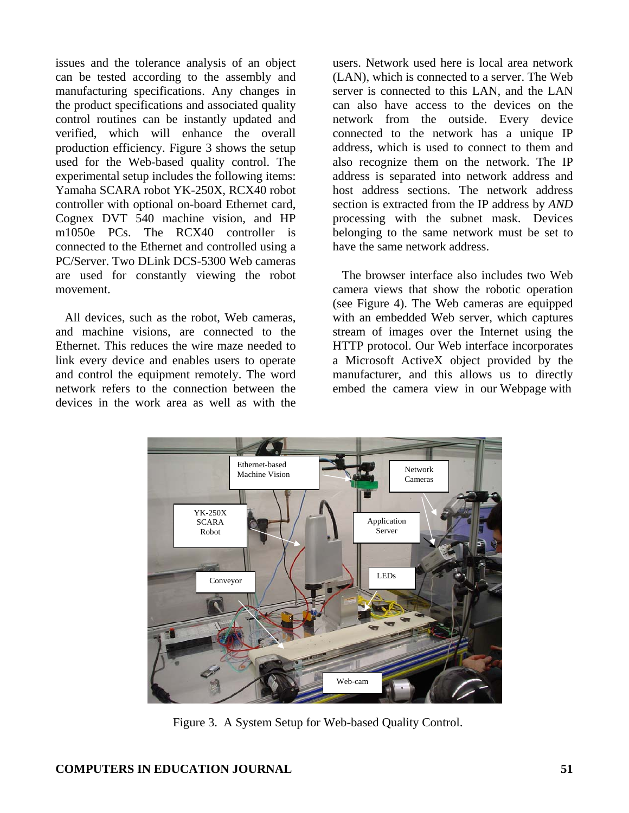issues and the tolerance analysis of an object can be tested according to the assembly and manufacturing specifications. Any changes in the product specifications and associated quality control routines can be instantly updated and verified, which will enhance the overall production efficiency. Figure 3 shows the setup used for the Web-based quality control. The experimental setup includes the following items: Yamaha SCARA robot YK-250X, RCX40 robot controller with optional on-board Ethernet card, Cognex DVT 540 machine vision, and HP m1050e PCs. The RCX40 controller is connected to the Ethernet and controlled using a PC/Server. Two DLink DCS-5300 Web cameras are used for constantly viewing the robot movement.

All devices, such as the robot, Web cameras, and machine visions, are connected to the Ethernet. This reduces the wire maze needed to link every device and enables users to operate and control the equipment remotely. The word network refers to the connection between the devices in the work area as well as with the

users. Network used here is local area network (LAN), which is connected to a server. The Web server is connected to this LAN, and the LAN can also have access to the devices on the network from the outside. Every device connected to the network has a unique IP address, which is used to connect to them and also recognize them on the network. The IP address is separated into network address and host address sections. The network address section is extracted from the IP address by *AND*  processing with the subnet mask. Devices belonging to the same network must be set to have the same network address.

The browser interface also includes two Web camera views that show the robotic operation (see Figure 4). The Web cameras are equipped with an embedded Web server, which captures stream of images over the Internet using the HTTP protocol. Our Web interface incorporates a Microsoft ActiveX object provided by the manufacturer, and this allows us to directly embed the camera view in our Webpage with



Figure 3. A System Setup for Web-based Quality Control.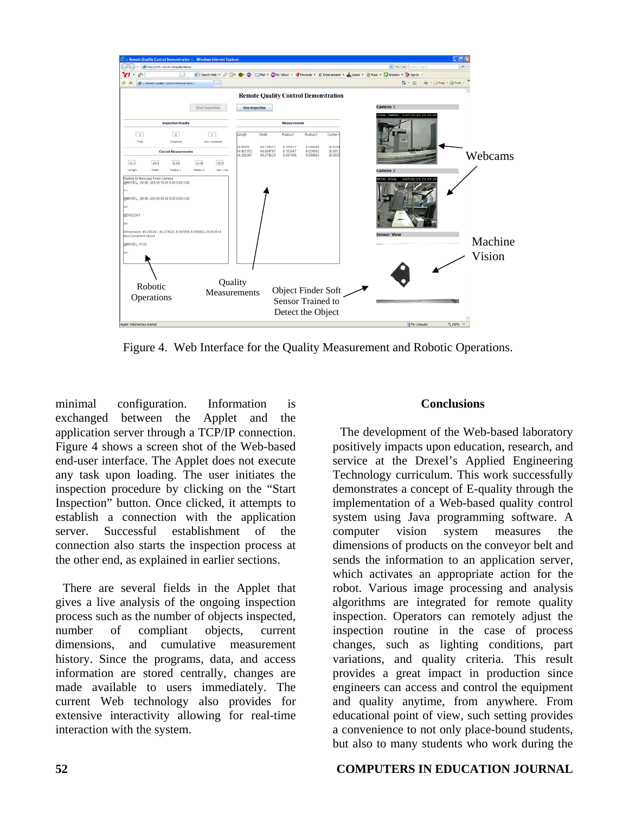

Figure 4. Web Interface for the Quality Measurement and Robotic Operations.

minimal configuration. Information is exchanged between the Applet and the application server through a TCP/IP connection. Figure 4 shows a screen shot of the Web-based end-user interface. The Applet does not execute any task upon loading. The user initiates the inspection procedure by clicking on the "Start Inspection" button. Once clicked, it attempts to establish a connection with the application server. Successful establishment of the connection also starts the inspection process at the other end, as explained in earlier sections.

There are several fields in the Applet that gives a live analysis of the ongoing inspection process such as the number of objects inspected, number of compliant objects, current dimensions, and cumulative measurement history. Since the programs, data, and access information are stored centrally, changes are made available to users immediately. The current Web technology also provides for extensive interactivity allowing for real-time interaction with the system.

#### **Conclusions**

The development of the Web-based laboratory positively impacts upon education, research, and service at the Drexel's Applied Engineering Technology curriculum. This work successfully demonstrates a concept of E-quality through the implementation of a Web-based quality control system using Java programming software. A computer vision system measures the dimensions of products on the conveyor belt and sends the information to an application server, which activates an appropriate action for the robot. Various image processing and analysis algorithms are integrated for remote quality inspection. Operators can remotely adjust the inspection routine in the case of process changes, such as lighting conditions, part variations, and quality criteria. This result provides a great impact in production since engineers can access and control the equipment and quality anytime, from anywhere. From educational point of view, such setting provides a convenience to not only place-bound students, but also to many students who work during the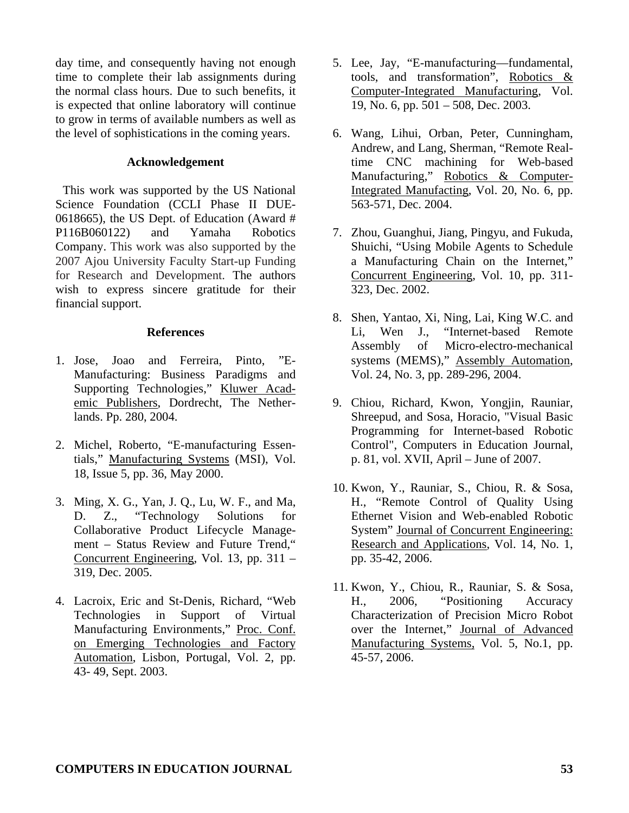day time, and consequently having not enough time to complete their lab assignments during the normal class hours. Due to such benefits, it is expected that online laboratory will continue to grow in terms of available numbers as well as the level of sophistications in the coming years.

#### **Acknowledgement**

This work was supported by the US National Science Foundation (CCLI Phase II DUE-0618665), the US Dept. of Education (Award # P116B060122) and Yamaha Robotics Company. This work was also supported by the 2007 Ajou University Faculty Start-up Funding for Research and Development. The authors wish to express sincere gratitude for their financial support.

#### **References**

- 1. Jose, Joao and Ferreira, Pinto, "E-Manufacturing: Business Paradigms and Supporting Technologies," Kluwer Academic Publishers, Dordrecht, The Netherlands. Pp. 280, 2004.
- 2. Michel, Roberto, "E-manufacturing Essentials," Manufacturing Systems (MSI), Vol. 18, Issue 5, pp. 36, May 2000.
- 3. Ming, X. G., Yan, J. Q., Lu, W. F., and Ma, D. Z., "Technology Solutions for Collaborative Product Lifecycle Management – Status Review and Future Trend," Concurrent Engineering, Vol. 13, pp. 311 – 319, Dec. 2005.
- 4. Lacroix, Eric and St-Denis, Richard, "Web Technologies in Support of Virtual Manufacturing Environments," Proc. Conf. on Emerging Technologies and Factory Automation, Lisbon, Portugal, Vol. 2, pp. 43- 49, Sept. 2003.
- 5. Lee, Jay, "E-manufacturing—fundamental, tools, and transformation", Robotics & Computer-Integrated Manufacturing, Vol. 19, No. 6, pp. 501 – 508, Dec. 2003.
- 6. Wang, Lihui, Orban, Peter, Cunningham, Andrew, and Lang, Sherman, "Remote Realtime CNC machining for Web-based Manufacturing," Robotics & Computer-Integrated Manufacting, Vol. 20, No. 6, pp. 563-571, Dec. 2004.
- 7. Zhou, Guanghui, Jiang, Pingyu, and Fukuda, Shuichi, "Using Mobile Agents to Schedule a Manufacturing Chain on the Internet," Concurrent Engineering, Vol. 10, pp. 311- 323, Dec. 2002.
- 8. Shen, Yantao, Xi, Ning, Lai, King W.C. and Li, Wen J., "Internet-based Remote Assembly of Micro-electro-mechanical systems (MEMS)," Assembly Automation, Vol. 24, No. 3, pp. 289-296, 2004.
- 9. Chiou, Richard, Kwon, Yongjin, Rauniar, Shreepud, and Sosa, Horacio, "Visual Basic Programming for Internet-based Robotic Control", Computers in Education Journal, p. 81, vol. XVII, April – June of 2007.
- 10. Kwon, Y., Rauniar, S., Chiou, R. & Sosa, H., "Remote Control of Quality Using Ethernet Vision and Web-enabled Robotic System" Journal of Concurrent Engineering: Research and Applications, Vol. 14, No. 1, pp. 35-42, 2006.
- 11. Kwon, Y., Chiou, R., Rauniar, S. & Sosa, H., 2006, "Positioning Accuracy Characterization of Precision Micro Robot over the Internet," Journal of Advanced Manufacturing Systems, Vol. 5, No.1, pp. 45-57, 2006.